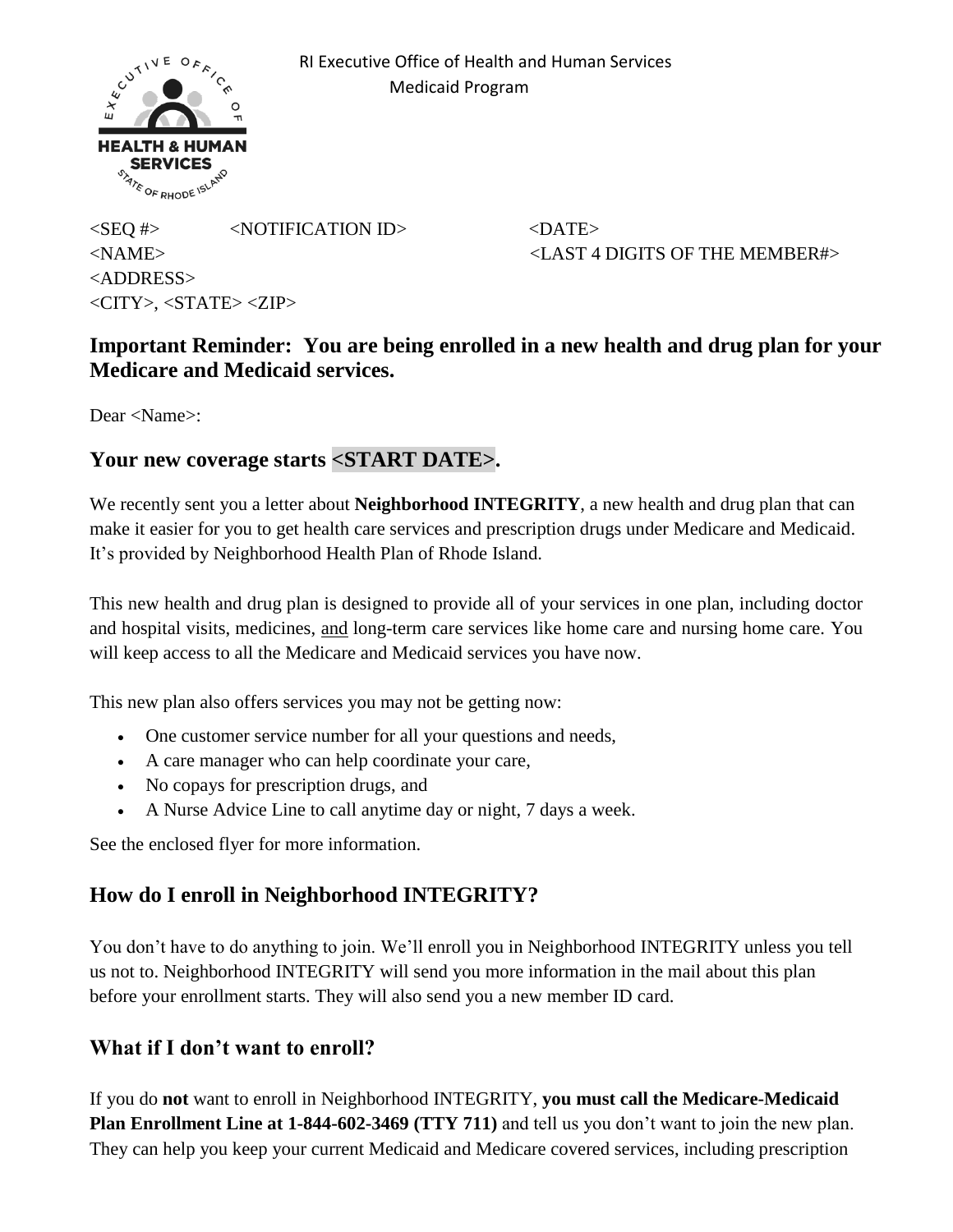

 RI Executive Office of Health and Human Services Medicaid Program

 $\langle$ SEQ #>  $\langle$ NOTIFICATION ID>  $\langle$ DATE> <NAME> <LAST 4 DIGITS OF THE MEMBER#> <ADDRESS>  $\langle$ CITY $>$ ,  $\langle$ STATE $>$  $\langle$ ZIP $>$ 

## **Important Reminder: You are being enrolled in a new health and drug plan for your Medicare and Medicaid services.**

Dear <Name>:

#### **Your new coverage starts <START DATE>.**

We recently sent you a letter about **Neighborhood INTEGRITY**, a new health and drug plan that can make it easier for you to get health care services and prescription drugs under Medicare and Medicaid. It's provided by Neighborhood Health Plan of Rhode Island.

This new health and drug plan is designed to provide all of your services in one plan, including doctor and hospital visits, medicines, and long-term care services like home care and nursing home care. You will keep access to all the Medicare and Medicaid services you have now.

This new plan also offers services you may not be getting now:

- One customer service number for all your questions and needs,
- A care manager who can help coordinate your care,
- No copays for prescription drugs, and
- A Nurse Advice Line to call anytime day or night, 7 days a week.

See the enclosed flyer for more information.

## **How do I enroll in Neighborhood INTEGRITY?**

You don't have to do anything to join. We'll enroll you in Neighborhood INTEGRITY unless you tell us not to. Neighborhood INTEGRITY will send you more information in the mail about this plan before your enrollment starts. They will also send you a new member ID card.

## **What if I don't want to enroll?**

If you do **not** want to enroll in Neighborhood INTEGRITY, **you must call the Medicare-Medicaid Plan Enrollment Line at 1-844-602-3469 (TTY 711)** and tell us you don't want to join the new plan. They can help you keep your current Medicaid and Medicare covered services, including prescription